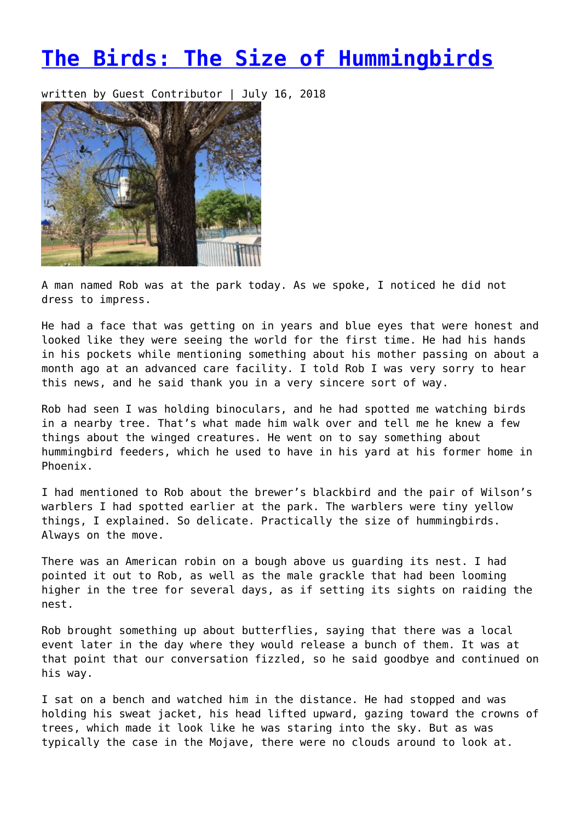## **[The Birds: The Size of Hummingbirds](https://entropymag.org/the-birds-the-size-of-hummingbirds/)**

written by Guest Contributor | July 16, 2018



A man named Rob was at the park today. As we spoke, I noticed he did not dress to impress.

He had a face that was getting on in years and blue eyes that were honest and looked like they were seeing the world for the first time. He had his hands in his pockets while mentioning something about his mother passing on about a month ago at an advanced care facility. I told Rob I was very sorry to hear this news, and he said thank you in a very sincere sort of way.

Rob had seen I was holding binoculars, and he had spotted me watching birds in a nearby tree. That's what made him walk over and tell me he knew a few things about the winged creatures. He went on to say something about hummingbird feeders, which he used to have in his yard at his former home in Phoenix.

I had mentioned to Rob about the brewer's blackbird and the pair of Wilson's warblers I had spotted earlier at the park. The warblers were tiny yellow things, I explained. So delicate. Practically the size of hummingbirds. Always on the move.

There was an American robin on a bough above us guarding its nest. I had pointed it out to Rob, as well as the male grackle that had been looming higher in the tree for several days, as if setting its sights on raiding the nest.

Rob brought something up about butterflies, saying that there was a local event later in the day where they would release a bunch of them. It was at that point that our conversation fizzled, so he said goodbye and continued on his way.

I sat on a bench and watched him in the distance. He had stopped and was holding his sweat jacket, his head lifted upward, gazing toward the crowns of trees, which made it look like he was staring into the sky. But as was typically the case in the Mojave, there were no clouds around to look at.